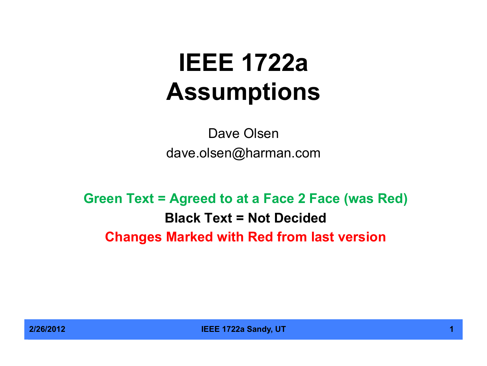# **IEEE 1722a Assumptions**

Dave Olsen dave.olsen@harman.com

**Green Text = Agreed to at a Face 2 Face (was Red) Black Text = Not Decided Changes Marked with Red from last version**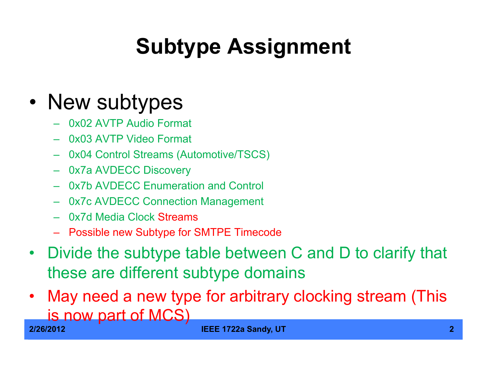# **Subtype Assignment**

#### • New subtypes

- 0x02 AVTP Audio Format
- 0x03 AVTP Video Format
- 0x04 Control Streams (Automotive/TSCS)
- 0x7a AVDECC Discovery
- 0x7b AVDECC Enumeration and Control
- 0x7c AVDECC Connection Management
- 0x7d Media Clock Streams
- Possible new Subtype for SMTPE Timecode
- Divide the subtype table between C and D to clarify that these are different subtype domains
- May need a new type for arbitrary clocking stream (This is now part of MCS)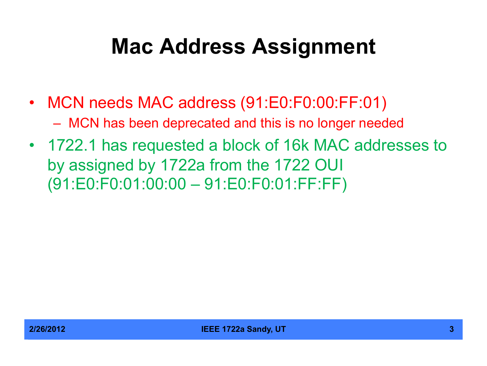#### **Mac Address Assignment**

- MCN needs MAC address (91:E0:F0:00:FF:01) – MCN has been deprecated and this is no longer needed
- 1722.1 has requested a block of 16k MAC addresses to by assigned by 1722a from the 1722 OUI (91:E0:F0:01:00:00 – 91:E0:F0:01:FF:FF)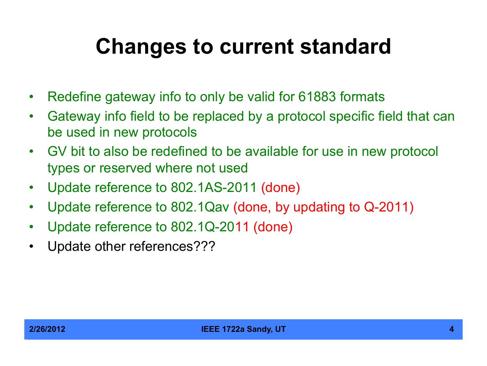#### **Changes to current standard**

- Redefine gateway info to only be valid for 61883 formats
- Gateway info field to be replaced by a protocol specific field that can be used in new protocols
- GV bit to also be redefined to be available for use in new protocol types or reserved where not used
- Update reference to 802.1AS-2011 (done)
- Update reference to 802.1Qav (done, by updating to Q-2011)
- Update reference to 802.1Q-2011 (done)
- Update other references???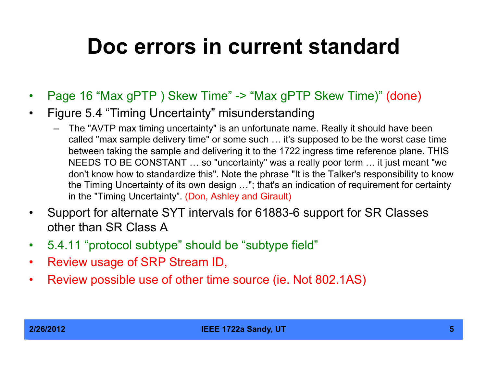#### **Doc errors in current standard**

- Page 16 "Max gPTP ) Skew Time" -> "Max gPTP Skew Time)" (done)
- Figure 5.4 "Timing Uncertainty" misunderstanding
	- The "AVTP max timing uncertainty" is an unfortunate name. Really it should have been called "max sample delivery time" or some such … it's supposed to be the worst case time between taking the sample and delivering it to the 1722 ingress time reference plane. THIS NEEDS TO BE CONSTANT … so "uncertainty" was a really poor term … it just meant "we don't know how to standardize this". Note the phrase "It is the Talker's responsibility to know the Timing Uncertainty of its own design …"; that's an indication of requirement for certainty in the "Timing Uncertainty". (Don, Ashley and Girault)
- Support for alternate SYT intervals for 61883-6 support for SR Classes other than SR Class A
- 5.4.11 "protocol subtype" should be "subtype field"
- Review usage of SRP Stream ID,
- Review possible use of other time source (ie. Not 802.1AS)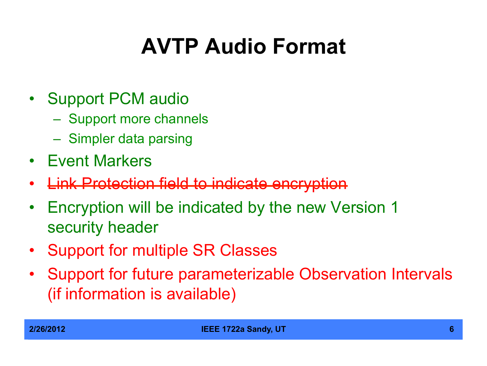# **AVTP Audio Format**

- Support PCM audio
	- Support more channels
	- Simpler data parsing
- Event Markers
- **Link Protection field to indicate encryption**
- Encryption will be indicated by the new Version 1 security header
- Support for multiple SR Classes
- Support for future parameterizable Observation Intervals (if information is available)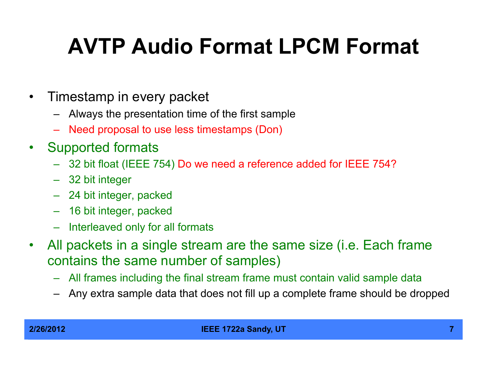## **AVTP Audio Format LPCM Format**

- Timestamp in every packet
	- Always the presentation time of the first sample
	- Need proposal to use less timestamps (Don)
- Supported formats
	- 32 bit float (IEEE 754) Do we need a reference added for IEEE 754?
	- 32 bit integer
	- 24 bit integer, packed
	- 16 bit integer, packed
	- Interleaved only for all formats
- All packets in a single stream are the same size (i.e. Each frame contains the same number of samples)
	- All frames including the final stream frame must contain valid sample data
	- Any extra sample data that does not fill up a complete frame should be dropped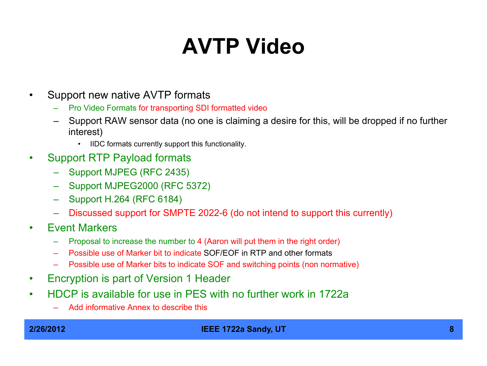## **AVTP Video**

- Support new native AVTP formats
	- Pro Video Formats for transporting SDI formatted video
	- Support RAW sensor data (no one is claiming a desire for this, will be dropped if no further interest)
		- IIDC formats currently support this functionality.
- Support RTP Payload formats
	- Support MJPEG (RFC 2435)
	- Support MJPEG2000 (RFC 5372)
	- Support H.264 (RFC 6184)
	- Discussed support for SMPTE 2022-6 (do not intend to support this currently)
- Event Markers
	- Proposal to increase the number to 4 (Aaron will put them in the right order)
	- Possible use of Marker bit to indicate SOF/EOF in RTP and other formats
	- Possible use of Marker bits to indicate SOF and switching points (non normative)
- Encryption is part of Version 1 Header
- HDCP is available for use in PES with no further work in 1722a
	- Add informative Annex to describe this

#### **2/26/2012 IEEE 1722a Sandy, UT 8**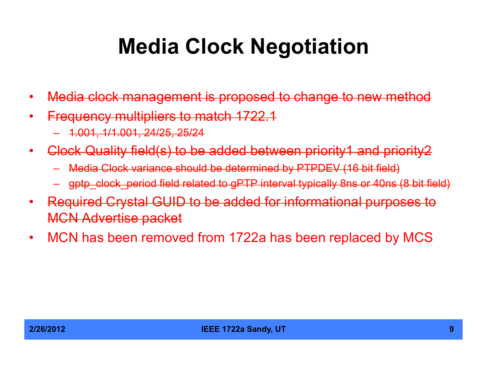#### **Media Clock Negotiation**

- Media clock management is proposed to change to new method
- Frequency multipliers to match 1722.1
	- 1.001, 1/1.001, 24/25, 25/24
- Clock Quality field(s) to be added between priority1 and priority2
	- Media Clock variance should be determined by PTPDEV (16 bit field)
	- gptp\_clock\_period field related to gPTP interval typically 8ns or 40ns (8 bit field)
- Required Crystal GUID to be added for informational purposes to MCN Advertise packet
- MCN has been removed from 1722a has been replaced by MCS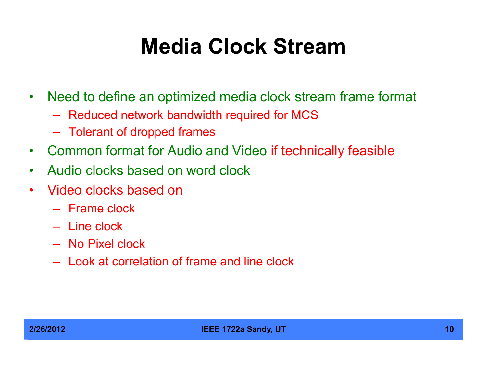#### **Media Clock Stream**

- Need to define an optimized media clock stream frame format
	- Reduced network bandwidth required for MCS
	- Tolerant of dropped frames
- Common format for Audio and Video if technically feasible
- Audio clocks based on word clock
- Video clocks based on
	- Frame clock
	- Line clock
	- No Pixel clock
	- Look at correlation of frame and line clock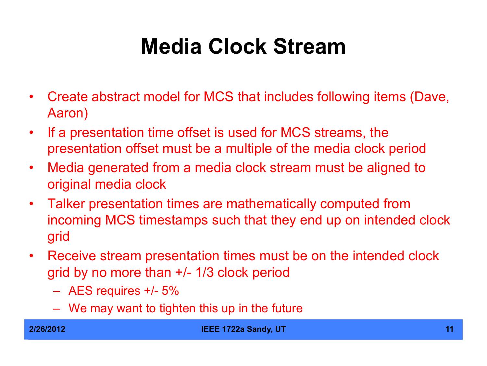## **Media Clock Stream**

- Create abstract model for MCS that includes following items (Dave, Aaron)
- If a presentation time offset is used for MCS streams, the presentation offset must be a multiple of the media clock period
- Media generated from a media clock stream must be aligned to original media clock
- Talker presentation times are mathematically computed from incoming MCS timestamps such that they end up on intended clock grid
- Receive stream presentation times must be on the intended clock grid by no more than +/- 1/3 clock period
	- AES requires +/- 5%
	- We may want to tighten this up in the future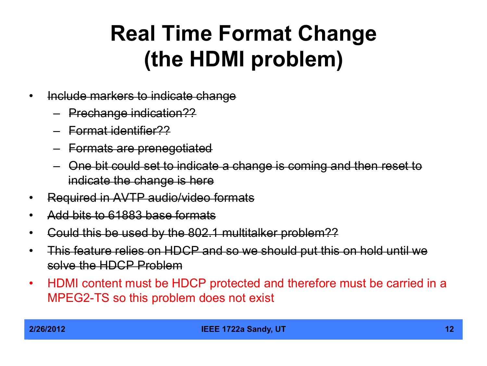#### **Real Time Format Change (the HDMI problem)**

- Include markers to indicate change
	- Prechange indication??
	- Format identifier??
	- Formats are prenegotiated
	- One bit could set to indicate a change is coming and then reset to indicate the change is here
- Required in AVTP audio/video formats
- Add bits to 61883 base formats
- Could this be used by the 802.1 multitalker problem??
- This feature relies on HDCP and so we should put this on hold until we solve the HDCP Problem
- HDMI content must be HDCP protected and therefore must be carried in a MPEG2-TS so this problem does not exist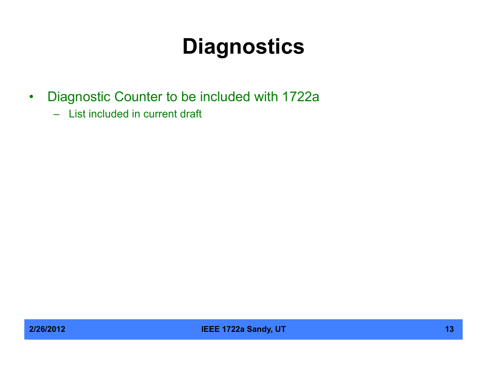## **Diagnostics**

- Diagnostic Counter to be included with 1722a
	- List included in current draft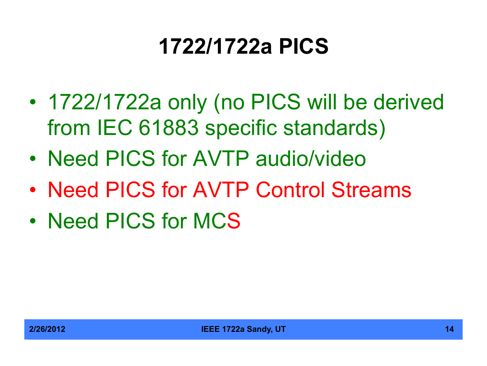## **1722/1722a PICS**

- 1722/1722a only (no PICS will be derived from IEC 61883 specific standards)
- Need PICS for AVTP audio/video
- Need PICS for AVTP Control Streams
- Need PICS for MCS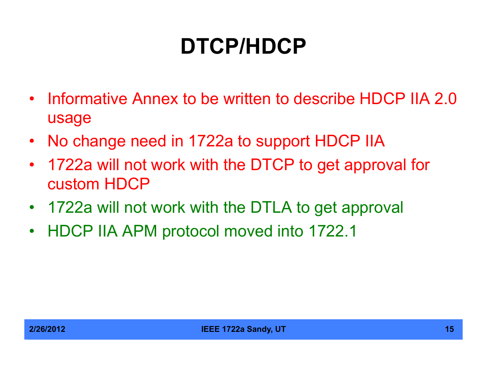# **DTCP/HDCP**

- Informative Annex to be written to describe HDCP IIA 2.0 usage
- No change need in 1722a to support HDCP IIA
- 1722a will not work with the DTCP to get approval for custom HDCP
- 1722a will not work with the DTLA to get approval
- HDCP IIA APM protocol moved into 1722.1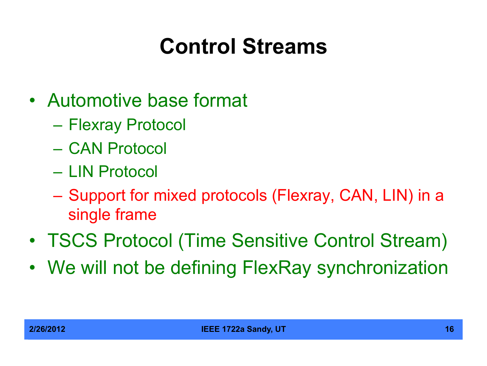# **Control Streams**

- Automotive base format
	- Flexray Protocol
	- CAN Protocol
	- LIN Protocol
	- Support for mixed protocols (Flexray, CAN, LIN) in a single frame
- TSCS Protocol (Time Sensitive Control Stream)
- We will not be defining FlexRay synchronization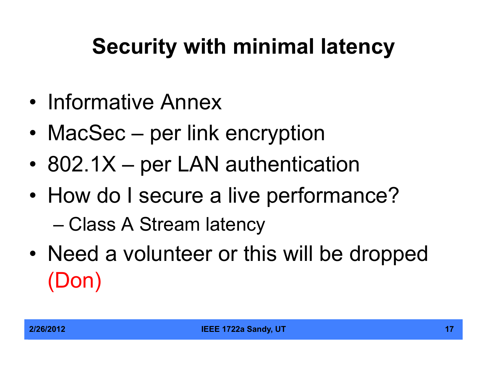# **Security with minimal latency**

- Informative Annex
- MacSec per link encryption
- 802.1X per LAN authentication
- How do I secure a live performance?

– Class A Stream latency

• Need a volunteer or this will be dropped (Don)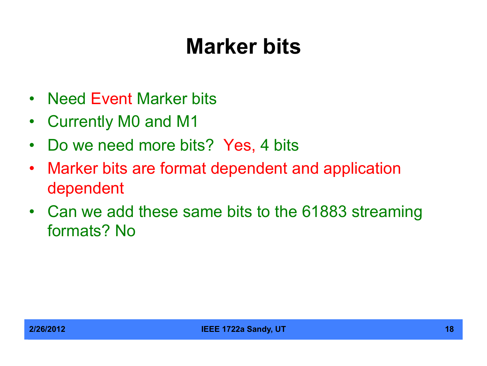#### **Marker bits**

- Need Event Marker bits
- Currently M0 and M1
- Do we need more bits? Yes, 4 bits
- Marker bits are format dependent and application dependent
- Can we add these same bits to the 61883 streaming formats? No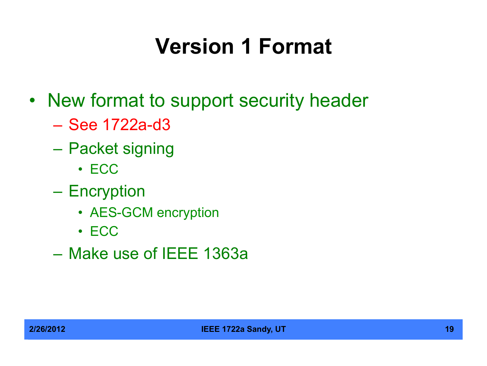## **Version 1 Format**

- New format to support security header
	- See 1722a-d3
	- Packet signing
		- ECC
	- Encryption
		- AES-GCM encryption
		- ECC
	- Make use of IEEE 1363a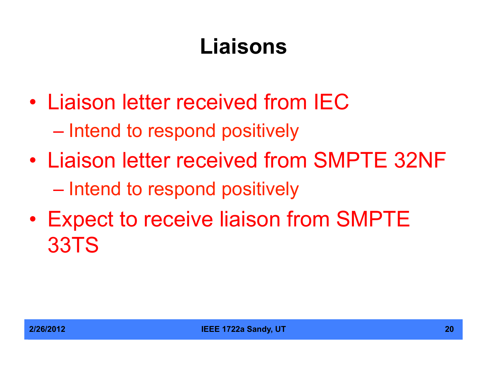## **Liaisons**

- Liaison letter received from IEC – Intend to respond positively
- Liaison letter received from SMPTE 32NF – Intend to respond positively
- Expect to receive liaison from SMPTE 33TS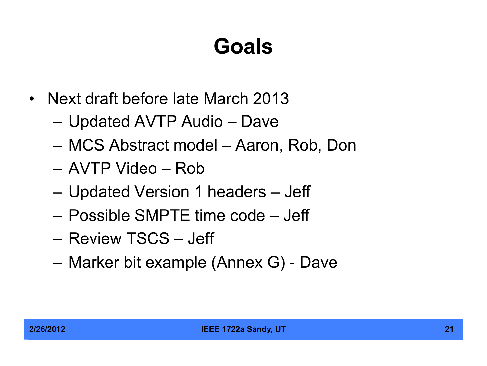## **Goals**

- Next draft before late March 2013
	- Updated AVTP Audio Dave
	- MCS Abstract model Aaron, Rob, Don
	- AVTP Video Rob
	- Updated Version 1 headers Jeff
	- Possible SMPTE time code Jeff
	- Review TSCS Jeff
	- Marker bit example (Annex G) Dave